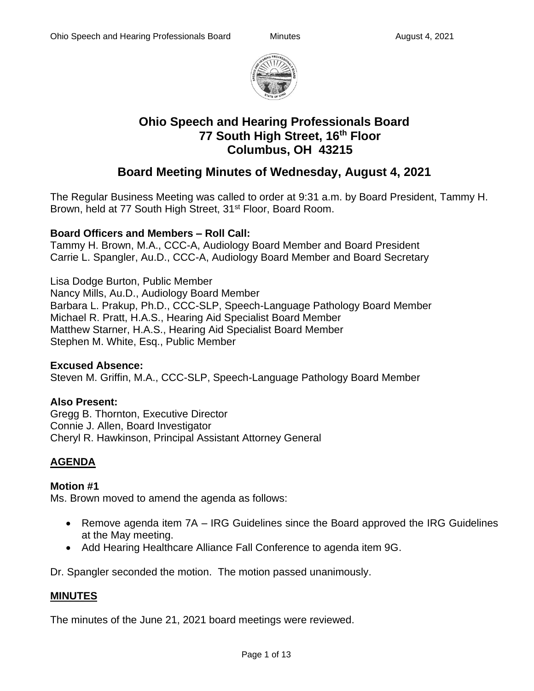

# **Ohio Speech and Hearing Professionals Board 77 South High Street, 16th Floor Columbus, OH 43215**

## **Board Meeting Minutes of Wednesday, August 4, 2021**

The Regular Business Meeting was called to order at 9:31 a.m. by Board President, Tammy H. Brown, held at 77 South High Street, 31<sup>st</sup> Floor, Board Room.

## **Board Officers and Members – Roll Call:**

Tammy H. Brown, M.A., CCC-A, Audiology Board Member and Board President Carrie L. Spangler, Au.D., CCC-A, Audiology Board Member and Board Secretary

Lisa Dodge Burton, Public Member Nancy Mills, Au.D., Audiology Board Member Barbara L. Prakup, Ph.D., CCC-SLP, Speech-Language Pathology Board Member Michael R. Pratt, H.A.S., Hearing Aid Specialist Board Member Matthew Starner, H.A.S., Hearing Aid Specialist Board Member Stephen M. White, Esq., Public Member

#### **Excused Absence:**

Steven M. Griffin, M.A., CCC-SLP, Speech-Language Pathology Board Member

## **Also Present:**

Gregg B. Thornton, Executive Director Connie J. Allen, Board Investigator Cheryl R. Hawkinson, Principal Assistant Attorney General

## **AGENDA**

## **Motion #1**

Ms. Brown moved to amend the agenda as follows:

- Remove agenda item 7A IRG Guidelines since the Board approved the IRG Guidelines at the May meeting.
- Add Hearing Healthcare Alliance Fall Conference to agenda item 9G.

Dr. Spangler seconded the motion. The motion passed unanimously.

## **MINUTES**

The minutes of the June 21, 2021 board meetings were reviewed.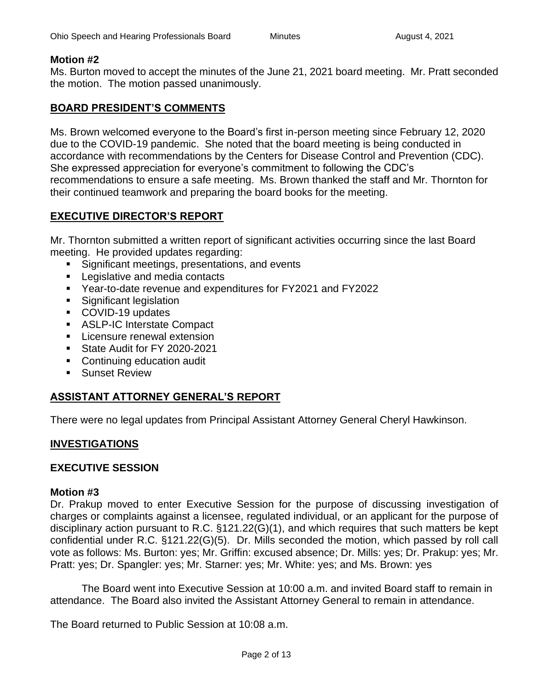#### **Motion #2**

Ms. Burton moved to accept the minutes of the June 21, 2021 board meeting. Mr. Pratt seconded the motion. The motion passed unanimously.

#### **BOARD PRESIDENT'S COMMENTS**

Ms. Brown welcomed everyone to the Board's first in-person meeting since February 12, 2020 due to the COVID-19 pandemic. She noted that the board meeting is being conducted in accordance with recommendations by the Centers for Disease Control and Prevention (CDC). She expressed appreciation for everyone's commitment to following the CDC's recommendations to ensure a safe meeting. Ms. Brown thanked the staff and Mr. Thornton for their continued teamwork and preparing the board books for the meeting.

## **EXECUTIVE DIRECTOR'S REPORT**

Mr. Thornton submitted a written report of significant activities occurring since the last Board meeting. He provided updates regarding:

- Significant meetings, presentations, and events
- Legislative and media contacts
- Year-to-date revenue and expenditures for FY2021 and FY2022
- Significant legislation
- COVID-19 updates
- ASLP-IC Interstate Compact
- **EXEC** Licensure renewal extension
- State Audit for FY 2020-2021
- Continuing education audit
- Sunset Review

## **ASSISTANT ATTORNEY GENERAL'S REPORT**

There were no legal updates from Principal Assistant Attorney General Cheryl Hawkinson.

#### **INVESTIGATIONS**

#### **EXECUTIVE SESSION**

#### **Motion #3**

Dr. Prakup moved to enter Executive Session for the purpose of discussing investigation of charges or complaints against a licensee, regulated individual, or an applicant for the purpose of disciplinary action pursuant to R.C. §121.22(G)(1), and which requires that such matters be kept confidential under R.C. §121.22(G)(5). Dr. Mills seconded the motion, which passed by roll call vote as follows: Ms. Burton: yes; Mr. Griffin: excused absence; Dr. Mills: yes; Dr. Prakup: yes; Mr. Pratt: yes; Dr. Spangler: yes; Mr. Starner: yes; Mr. White: yes; and Ms. Brown: yes

The Board went into Executive Session at 10:00 a.m. and invited Board staff to remain in attendance. The Board also invited the Assistant Attorney General to remain in attendance.

The Board returned to Public Session at 10:08 a.m.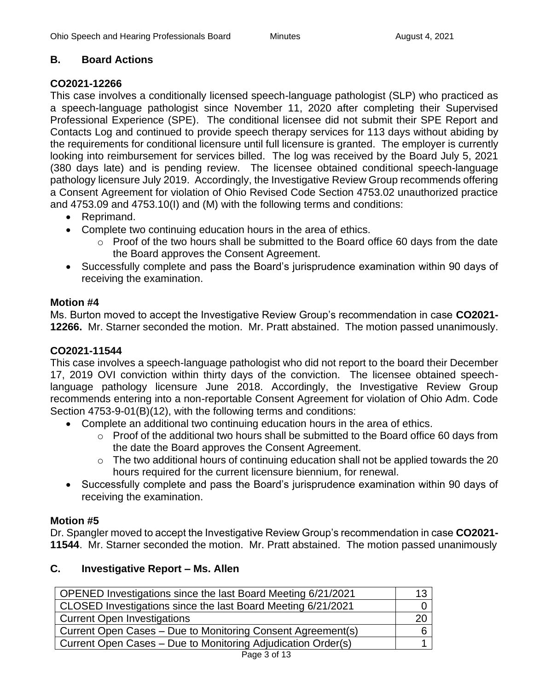## **B. Board Actions**

## **CO2021-12266**

This case involves a conditionally licensed speech-language pathologist (SLP) who practiced as a speech-language pathologist since November 11, 2020 after completing their Supervised Professional Experience (SPE). The conditional licensee did not submit their SPE Report and Contacts Log and continued to provide speech therapy services for 113 days without abiding by the requirements for conditional licensure until full licensure is granted. The employer is currently looking into reimbursement for services billed. The log was received by the Board July 5, 2021 (380 days late) and is pending review. The licensee obtained conditional speech-language pathology licensure July 2019. Accordingly, the Investigative Review Group recommends offering a Consent Agreement for violation of Ohio Revised Code Section 4753.02 unauthorized practice and 4753.09 and 4753.10(I) and (M) with the following terms and conditions:

- Reprimand.
- Complete two continuing education hours in the area of ethics.
	- o Proof of the two hours shall be submitted to the Board office 60 days from the date the Board approves the Consent Agreement.
- Successfully complete and pass the Board's jurisprudence examination within 90 days of receiving the examination.

## **Motion #4**

Ms. Burton moved to accept the Investigative Review Group's recommendation in case **CO2021- 12266.** Mr. Starner seconded the motion. Mr. Pratt abstained. The motion passed unanimously.

## **CO2021-11544**

This case involves a speech-language pathologist who did not report to the board their December 17, 2019 OVI conviction within thirty days of the conviction. The licensee obtained speechlanguage pathology licensure June 2018. Accordingly, the Investigative Review Group recommends entering into a non-reportable Consent Agreement for violation of Ohio Adm. Code Section 4753-9-01(B)(12), with the following terms and conditions:

- Complete an additional two continuing education hours in the area of ethics.
	- o Proof of the additional two hours shall be submitted to the Board office 60 days from the date the Board approves the Consent Agreement.
	- $\circ$  The two additional hours of continuing education shall not be applied towards the 20 hours required for the current licensure biennium, for renewal.
- Successfully complete and pass the Board's jurisprudence examination within 90 days of receiving the examination.

## **Motion #5**

Dr. Spangler moved to accept the Investigative Review Group's recommendation in case **CO2021- 11544**. Mr. Starner seconded the motion. Mr. Pratt abstained. The motion passed unanimously

## **C. Investigative Report – Ms. Allen**

| OPENED Investigations since the last Board Meeting 6/21/2021 | 13 |
|--------------------------------------------------------------|----|
| CLOSED Investigations since the last Board Meeting 6/21/2021 |    |
| <b>Current Open Investigations</b>                           | 20 |
| Current Open Cases - Due to Monitoring Consent Agreement(s)  |    |
| Current Open Cases – Due to Monitoring Adjudication Order(s) |    |
| Page 3 of 13                                                 |    |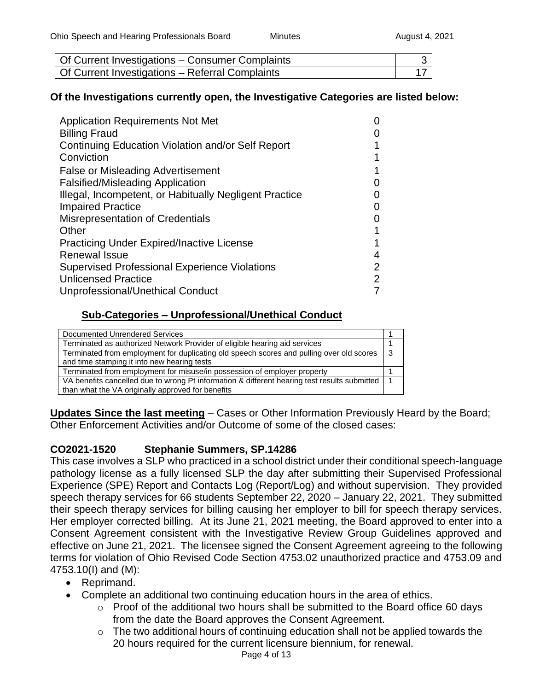| Of Current Investigations - Consumer Complaints |  |
|-------------------------------------------------|--|
| Of Current Investigations - Referral Complaints |  |

#### **Of the Investigations currently open, the Investigative Categories are listed below:**

| <b>Application Requirements Not Met</b>                |                |
|--------------------------------------------------------|----------------|
| <b>Billing Fraud</b>                                   |                |
| Continuing Education Violation and/or Self Report      |                |
| Conviction                                             |                |
| <b>False or Misleading Advertisement</b>               |                |
| <b>Falsified/Misleading Application</b>                |                |
| Illegal, Incompetent, or Habitually Negligent Practice |                |
| <b>Impaired Practice</b>                               |                |
| <b>Misrepresentation of Credentials</b>                |                |
| Other                                                  |                |
| <b>Practicing Under Expired/Inactive License</b>       |                |
| <b>Renewal Issue</b>                                   | 4              |
| <b>Supervised Professional Experience Violations</b>   | $\overline{2}$ |
| <b>Unlicensed Practice</b>                             | $\overline{2}$ |
| Unprofessional/Unethical Conduct                       |                |

## **Sub-Categories – Unprofessional/Unethical Conduct**

| Documented Unrendered Services                                                               |     |
|----------------------------------------------------------------------------------------------|-----|
| Terminated as authorized Network Provider of eligible hearing aid services                   |     |
| Terminated from employment for duplicating old speech scores and pulling over old scores     | l 3 |
| and time stamping it into new hearing tests                                                  |     |
| Terminated from employment for misuse/in possession of employer property                     |     |
| VA benefits cancelled due to wrong Pt information & different hearing test results submitted |     |
| than what the VA originally approved for benefits                                            |     |

**Updates Since the last meeting** – Cases or Other Information Previously Heard by the Board; Other Enforcement Activities and/or Outcome of some of the closed cases:

## **CO2021-1520 Stephanie Summers, SP.14286**

This case involves a SLP who practiced in a school district under their conditional speech-language pathology license as a fully licensed SLP the day after submitting their Supervised Professional Experience (SPE) Report and Contacts Log (Report/Log) and without supervision. They provided speech therapy services for 66 students September 22, 2020 – January 22, 2021. They submitted their speech therapy services for billing causing her employer to bill for speech therapy services. Her employer corrected billing. At its June 21, 2021 meeting, the Board approved to enter into a Consent Agreement consistent with the Investigative Review Group Guidelines approved and effective on June 21, 2021. The licensee signed the Consent Agreement agreeing to the following terms for violation of Ohio Revised Code Section 4753.02 unauthorized practice and 4753.09 and 4753.10(I) and (M):

- Reprimand.
- Complete an additional two continuing education hours in the area of ethics.
	- $\circ$  Proof of the additional two hours shall be submitted to the Board office 60 days from the date the Board approves the Consent Agreement.
	- $\circ$  The two additional hours of continuing education shall not be applied towards the 20 hours required for the current licensure biennium, for renewal.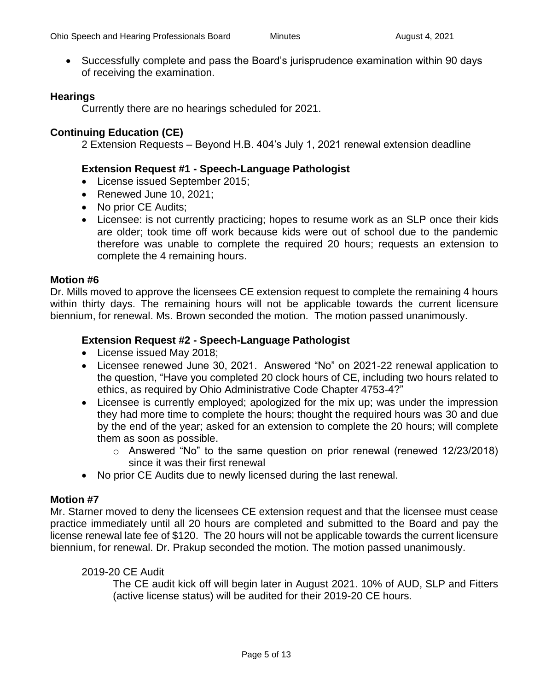• Successfully complete and pass the Board's jurisprudence examination within 90 days of receiving the examination.

#### **Hearings**

Currently there are no hearings scheduled for 2021.

#### **Continuing Education (CE)**

2 Extension Requests – Beyond H.B. 404's July 1, 2021 renewal extension deadline

#### **Extension Request #1 - Speech-Language Pathologist**

- License issued September 2015;
- Renewed June 10, 2021;
- No prior CE Audits;
- Licensee: is not currently practicing; hopes to resume work as an SLP once their kids are older; took time off work because kids were out of school due to the pandemic therefore was unable to complete the required 20 hours; requests an extension to complete the 4 remaining hours.

#### **Motion #6**

Dr. Mills moved to approve the licensees CE extension request to complete the remaining 4 hours within thirty days. The remaining hours will not be applicable towards the current licensure biennium, for renewal. Ms. Brown seconded the motion. The motion passed unanimously.

#### **Extension Request #2 - Speech-Language Pathologist**

- License issued May 2018;
- Licensee renewed June 30, 2021. Answered "No" on 2021-22 renewal application to the question, "Have you completed 20 clock hours of CE, including two hours related to ethics, as required by Ohio Administrative Code Chapter 4753-4?"
- Licensee is currently employed; apologized for the mix up; was under the impression they had more time to complete the hours; thought the required hours was 30 and due by the end of the year; asked for an extension to complete the 20 hours; will complete them as soon as possible.
	- o Answered "No" to the same question on prior renewal (renewed 12/23/2018) since it was their first renewal
- No prior CE Audits due to newly licensed during the last renewal.

#### **Motion #7**

Mr. Starner moved to deny the licensees CE extension request and that the licensee must cease practice immediately until all 20 hours are completed and submitted to the Board and pay the license renewal late fee of \$120. The 20 hours will not be applicable towards the current licensure biennium, for renewal. Dr. Prakup seconded the motion. The motion passed unanimously.

#### 2019-20 CE Audit

The CE audit kick off will begin later in August 2021. 10% of AUD, SLP and Fitters (active license status) will be audited for their 2019-20 CE hours.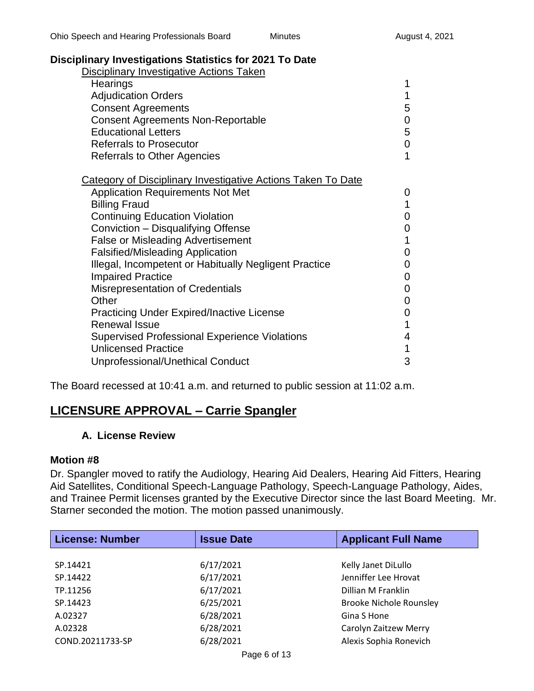## **Disciplinary Investigations Statistics for 2021 To Date**

| <b>Disciplinary Investigative Actions Taken</b>                     |   |
|---------------------------------------------------------------------|---|
| Hearings                                                            | 1 |
| <b>Adjudication Orders</b>                                          | 1 |
| <b>Consent Agreements</b>                                           | 5 |
| <b>Consent Agreements Non-Reportable</b>                            | 0 |
| <b>Educational Letters</b>                                          | 5 |
| Referrals to Prosecutor                                             | 0 |
| <b>Referrals to Other Agencies</b>                                  | 1 |
| <b>Category of Disciplinary Investigative Actions Taken To Date</b> |   |
| <b>Application Requirements Not Met</b>                             | 0 |
| <b>Billing Fraud</b>                                                | 1 |
| <b>Continuing Education Violation</b>                               | 0 |
| Conviction - Disqualifying Offense                                  | 0 |
| <b>False or Misleading Advertisement</b>                            | 1 |
| <b>Falsified/Misleading Application</b>                             | 0 |
| Illegal, Incompetent or Habitually Negligent Practice               | 0 |
| <b>Impaired Practice</b>                                            | 0 |
| <b>Misrepresentation of Credentials</b>                             | 0 |
| Other                                                               | 0 |
| <b>Practicing Under Expired/Inactive License</b>                    | 0 |
| <b>Renewal Issue</b>                                                | 1 |
| <b>Supervised Professional Experience Violations</b>                | 4 |
| <b>Unlicensed Practice</b>                                          | 1 |
| Unprofessional/Unethical Conduct                                    | 3 |

The Board recessed at 10:41 a.m. and returned to public session at 11:02 a.m.

## **LICENSURE APPROVAL – Carrie Spangler**

#### **A. License Review**

#### **Motion #8**

Dr. Spangler moved to ratify the Audiology, Hearing Aid Dealers, Hearing Aid Fitters, Hearing Aid Satellites, Conditional Speech-Language Pathology, Speech-Language Pathology, Aides, and Trainee Permit licenses granted by the Executive Director since the last Board Meeting. Mr. Starner seconded the motion. The motion passed unanimously.

| <b>License: Number</b> | <b>Issue Date</b> | <b>Applicant Full Name</b>     |
|------------------------|-------------------|--------------------------------|
|                        |                   |                                |
| SP.14421               | 6/17/2021         | Kelly Janet DiLullo            |
| SP.14422               | 6/17/2021         | Jenniffer Lee Hrovat           |
| TP.11256               | 6/17/2021         | Dillian M Franklin             |
| SP.14423               | 6/25/2021         | <b>Brooke Nichole Rounsley</b> |
| A.02327                | 6/28/2021         | Gina S Hone                    |
| A.02328                | 6/28/2021         | Carolyn Zaitzew Merry          |
| COND.20211733-SP       | 6/28/2021         | Alexis Sophia Ronevich         |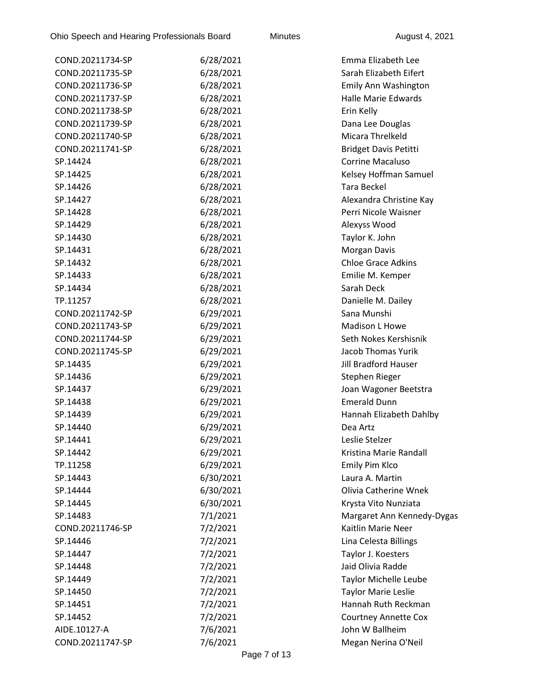| COND.20211734-SP | 6/28/2021 | Emma Elizabeth Lee           |
|------------------|-----------|------------------------------|
| COND.20211735-SP | 6/28/2021 | Sarah Elizabeth Eifert       |
| COND.20211736-SP | 6/28/2021 | Emily Ann Washington         |
| COND.20211737-SP | 6/28/2021 | <b>Halle Marie Edwards</b>   |
| COND.20211738-SP | 6/28/2021 | Erin Kelly                   |
| COND.20211739-SP | 6/28/2021 | Dana Lee Douglas             |
| COND.20211740-SP | 6/28/2021 | Micara Threlkeld             |
| COND.20211741-SP | 6/28/2021 | <b>Bridget Davis Petitti</b> |
| SP.14424         | 6/28/2021 | <b>Corrine Macaluso</b>      |
| SP.14425         | 6/28/2021 | Kelsey Hoffman Samuel        |
| SP.14426         | 6/28/2021 | <b>Tara Beckel</b>           |
| SP.14427         | 6/28/2021 | Alexandra Christine Kay      |
| SP.14428         | 6/28/2021 | Perri Nicole Waisner         |
| SP.14429         | 6/28/2021 | Alexyss Wood                 |
| SP.14430         | 6/28/2021 | Taylor K. John               |
| SP.14431         | 6/28/2021 | Morgan Davis                 |
| SP.14432         | 6/28/2021 | <b>Chloe Grace Adkins</b>    |
| SP.14433         | 6/28/2021 | Emilie M. Kemper             |
| SP.14434         | 6/28/2021 | Sarah Deck                   |
| TP.11257         | 6/28/2021 | Danielle M. Dailey           |
| COND.20211742-SP | 6/29/2021 | Sana Munshi                  |
| COND.20211743-SP | 6/29/2021 | Madison L Howe               |
| COND.20211744-SP | 6/29/2021 | Seth Nokes Kershisnik        |
| COND.20211745-SP | 6/29/2021 | <b>Jacob Thomas Yurik</b>    |
| SP.14435         | 6/29/2021 | <b>Jill Bradford Hauser</b>  |
| SP.14436         | 6/29/2021 | Stephen Rieger               |
| SP.14437         | 6/29/2021 | Joan Wagoner Beetstra        |
| SP.14438         | 6/29/2021 | <b>Emerald Dunn</b>          |
| SP.14439         | 6/29/2021 | Hannah Elizabeth Dahlby      |
| SP.14440         | 6/29/2021 | Dea Artz                     |
| SP.14441         | 6/29/2021 | Leslie Stelzer               |
| SP.14442         | 6/29/2021 | Kristina Marie Randall       |
| TP.11258         | 6/29/2021 | Emily Pim Klco               |
| SP.14443         | 6/30/2021 | Laura A. Martin              |
| SP.14444         | 6/30/2021 | Olivia Catherine Wnek        |
| SP.14445         | 6/30/2021 | Krysta Vito Nunziata         |
| SP.14483         | 7/1/2021  | Margaret Ann Kennedy-Dygas   |
| COND.20211746-SP | 7/2/2021  | Kaitlin Marie Neer           |
| SP.14446         | 7/2/2021  | Lina Celesta Billings        |
| SP.14447         | 7/2/2021  | Taylor J. Koesters           |
| SP.14448         | 7/2/2021  | Jaid Olivia Radde            |
| SP.14449         | 7/2/2021  | Taylor Michelle Leube        |
| SP.14450         | 7/2/2021  | <b>Taylor Marie Leslie</b>   |
| SP.14451         | 7/2/2021  | Hannah Ruth Reckman          |
| SP.14452         | 7/2/2021  | <b>Courtney Annette Cox</b>  |
| AIDE.10127-A     | 7/6/2021  | John W Ballheim              |
| COND.20211747-SP | 7/6/2021  | Megan Nerina O'Neil          |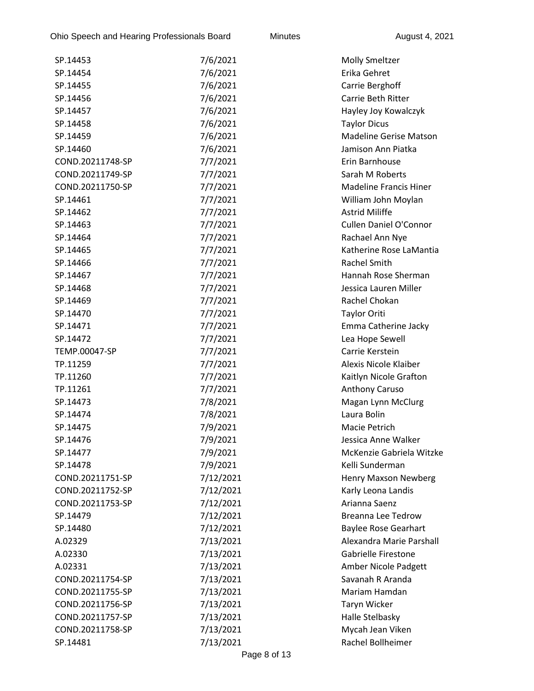| SP.14453         | 7/6/2021  | <b>Molly Smeltzer</b>         |
|------------------|-----------|-------------------------------|
| SP.14454         | 7/6/2021  | Erika Gehret                  |
| SP.14455         | 7/6/2021  | Carrie Berghoff               |
| SP.14456         | 7/6/2021  | Carrie Beth Ritter            |
| SP.14457         | 7/6/2021  | Hayley Joy Kowalczyk          |
| SP.14458         | 7/6/2021  | <b>Taylor Dicus</b>           |
| SP.14459         | 7/6/2021  | <b>Madeline Gerise Matson</b> |
| SP.14460         | 7/6/2021  | Jamison Ann Piatka            |
| COND.20211748-SP | 7/7/2021  | Erin Barnhouse                |
| COND.20211749-SP | 7/7/2021  | Sarah M Roberts               |
| COND.20211750-SP | 7/7/2021  | <b>Madeline Francis Hiner</b> |
| SP.14461         | 7/7/2021  | William John Moylan           |
| SP.14462         | 7/7/2021  | <b>Astrid Miliffe</b>         |
| SP.14463         | 7/7/2021  | <b>Cullen Daniel O'Connor</b> |
| SP.14464         | 7/7/2021  | Rachael Ann Nye               |
| SP.14465         | 7/7/2021  | Katherine Rose LaMantia       |
| SP.14466         | 7/7/2021  | <b>Rachel Smith</b>           |
| SP.14467         | 7/7/2021  | Hannah Rose Sherman           |
| SP.14468         | 7/7/2021  | Jessica Lauren Miller         |
| SP.14469         | 7/7/2021  | Rachel Chokan                 |
| SP.14470         | 7/7/2021  | <b>Taylor Oriti</b>           |
| SP.14471         | 7/7/2021  | Emma Catherine Jacky          |
| SP.14472         | 7/7/2021  | Lea Hope Sewell               |
| TEMP.00047-SP    | 7/7/2021  | Carrie Kerstein               |
| TP.11259         | 7/7/2021  | Alexis Nicole Klaiber         |
| TP.11260         | 7/7/2021  | Kaitlyn Nicole Grafton        |
| TP.11261         | 7/7/2021  | Anthony Caruso                |
| SP.14473         | 7/8/2021  | Magan Lynn McClurg            |
| SP.14474         | 7/8/2021  | Laura Bolin                   |
| SP.14475         | 7/9/2021  | Macie Petrich                 |
| SP.14476         | 7/9/2021  | Jessica Anne Walker           |
| SP.14477         | 7/9/2021  | McKenzie Gabriela Witzke      |
| SP.14478         | 7/9/2021  | Kelli Sunderman               |
| COND.20211751-SP | 7/12/2021 | Henry Maxson Newberg          |
| COND.20211752-SP | 7/12/2021 | Karly Leona Landis            |
| COND.20211753-SP | 7/12/2021 | Arianna Saenz                 |
| SP.14479         | 7/12/2021 | <b>Breanna Lee Tedrow</b>     |
| SP.14480         | 7/12/2021 | <b>Baylee Rose Gearhart</b>   |
| A.02329          | 7/13/2021 | Alexandra Marie Parshall      |
| A.02330          | 7/13/2021 | Gabrielle Firestone           |
| A.02331          | 7/13/2021 | Amber Nicole Padgett          |
| COND.20211754-SP | 7/13/2021 | Savanah R Aranda              |
| COND.20211755-SP | 7/13/2021 | Mariam Hamdan                 |
| COND.20211756-SP | 7/13/2021 | Taryn Wicker                  |
| COND.20211757-SP | 7/13/2021 | Halle Stelbasky               |
| COND.20211758-SP | 7/13/2021 | Mycah Jean Viken              |
| SP.14481         | 7/13/2021 | Rachel Bollheimer             |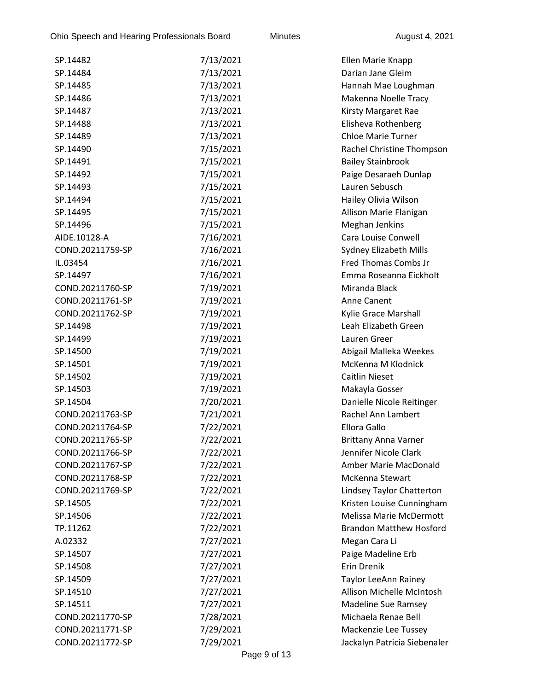| SP.14482         | 7/13/2021 | Ellen Marie Knapp              |
|------------------|-----------|--------------------------------|
| SP.14484         | 7/13/2021 | Darian Jane Gleim              |
| SP.14485         | 7/13/2021 | Hannah Mae Loughman            |
| SP.14486         | 7/13/2021 | Makenna Noelle Tracy           |
| SP.14487         | 7/13/2021 | Kirsty Margaret Rae            |
| SP.14488         | 7/13/2021 | Elisheva Rothenberg            |
| SP.14489         | 7/13/2021 | <b>Chloe Marie Turner</b>      |
| SP.14490         | 7/15/2021 | Rachel Christine Thompson      |
| SP.14491         | 7/15/2021 | <b>Bailey Stainbrook</b>       |
| SP.14492         | 7/15/2021 | Paige Desaraeh Dunlap          |
| SP.14493         | 7/15/2021 | Lauren Sebusch                 |
| SP.14494         | 7/15/2021 | Hailey Olivia Wilson           |
| SP.14495         | 7/15/2021 | Allison Marie Flanigan         |
| SP.14496         | 7/15/2021 | Meghan Jenkins                 |
| AIDE.10128-A     | 7/16/2021 | Cara Louise Conwell            |
| COND.20211759-SP | 7/16/2021 | Sydney Elizabeth Mills         |
| IL.03454         | 7/16/2021 | Fred Thomas Combs Jr           |
| SP.14497         | 7/16/2021 | Emma Roseanna Eickholt         |
| COND.20211760-SP | 7/19/2021 | Miranda Black                  |
| COND.20211761-SP | 7/19/2021 | Anne Canent                    |
| COND.20211762-SP | 7/19/2021 | Kylie Grace Marshall           |
| SP.14498         | 7/19/2021 | Leah Elizabeth Green           |
| SP.14499         | 7/19/2021 | Lauren Greer                   |
| SP.14500         | 7/19/2021 | Abigail Malleka Weekes         |
| SP.14501         | 7/19/2021 | McKenna M Klodnick             |
| SP.14502         | 7/19/2021 | <b>Caitlin Nieset</b>          |
| SP.14503         | 7/19/2021 | Makayla Gosser                 |
| SP.14504         | 7/20/2021 | Danielle Nicole Reitinger      |
| COND.20211763-SP | 7/21/2021 | <b>Rachel Ann Lambert</b>      |
| COND.20211764-SP | 7/22/2021 | Ellora Gallo                   |
| COND.20211765-SP | 7/22/2021 | <b>Brittany Anna Varner</b>    |
| COND.20211766-SP | 7/22/2021 | Jennifer Nicole Clark          |
| COND.20211767-SP | 7/22/2021 | Amber Marie MacDonald          |
| COND.20211768-SP | 7/22/2021 | McKenna Stewart                |
| COND.20211769-SP | 7/22/2021 | Lindsey Taylor Chatterton      |
| SP.14505         | 7/22/2021 | Kristen Louise Cunningham      |
| SP.14506         | 7/22/2021 | Melissa Marie McDermott        |
| TP.11262         | 7/22/2021 | <b>Brandon Matthew Hosford</b> |
| A.02332          | 7/27/2021 | Megan Cara Li                  |
| SP.14507         | 7/27/2021 | Paige Madeline Erb             |
| SP.14508         | 7/27/2021 | Erin Drenik                    |
| SP.14509         | 7/27/2021 | Taylor LeeAnn Rainey           |
| SP.14510         | 7/27/2021 | Allison Michelle McIntosh      |
| SP.14511         | 7/27/2021 | <b>Madeline Sue Ramsey</b>     |
| COND.20211770-SP | 7/28/2021 | Michaela Renae Bell            |
| COND.20211771-SP | 7/29/2021 | Mackenzie Lee Tussey           |
| COND.20211772-SP | 7/29/2021 | Jackalyn Patricia Siebenaler   |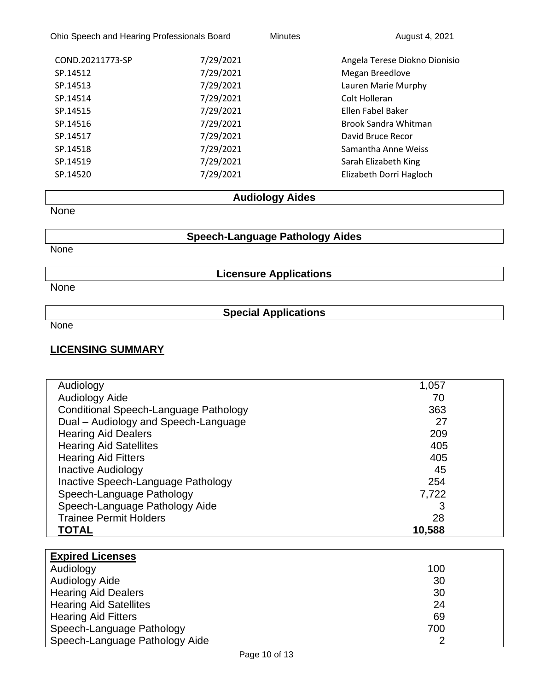| Ohio Speech and Hearing Professionals Board |           | <b>Minutes</b> | August 4, 2021                |
|---------------------------------------------|-----------|----------------|-------------------------------|
| COND.20211773-SP                            | 7/29/2021 |                | Angela Terese Diokno Dionisio |
| SP.14512                                    | 7/29/2021 |                | Megan Breedlove               |
| SP.14513                                    | 7/29/2021 |                | Lauren Marie Murphy           |
| SP.14514                                    | 7/29/2021 |                | Colt Holleran                 |
| SP.14515                                    | 7/29/2021 |                | Ellen Fabel Baker             |
| SP.14516                                    | 7/29/2021 |                | <b>Brook Sandra Whitman</b>   |
| SP.14517                                    | 7/29/2021 |                | David Bruce Recor             |
| SP.14518                                    | 7/29/2021 |                | Samantha Anne Weiss           |
| SP.14519                                    | 7/29/2021 |                | Sarah Elizabeth King          |
| SP.14520                                    | 7/29/2021 |                | Elizabeth Dorri Hagloch       |

# **Audiology Aides**

**None** 

## **Speech-Language Pathology Aides**

None

**Licensure Applications**

None

# **Special Applications**

None

## **LICENSING SUMMARY**

| Audiology                             | 1,057  |  |
|---------------------------------------|--------|--|
| Audiology Aide                        | 70     |  |
| Conditional Speech-Language Pathology | 363    |  |
| Dual - Audiology and Speech-Language  | 27     |  |
| <b>Hearing Aid Dealers</b>            | 209    |  |
| <b>Hearing Aid Satellites</b>         | 405    |  |
| <b>Hearing Aid Fitters</b>            | 405    |  |
| <b>Inactive Audiology</b>             | 45     |  |
| Inactive Speech-Language Pathology    | 254    |  |
| Speech-Language Pathology             | 7,722  |  |
| Speech-Language Pathology Aide        | 3      |  |
| <b>Trainee Permit Holders</b>         | 28     |  |
| <b>TOTAL</b>                          | 10,588 |  |

| <b>Expired Licenses</b>        |     |  |
|--------------------------------|-----|--|
| Audiology                      | 100 |  |
| Audiology Aide                 | 30  |  |
| <b>Hearing Aid Dealers</b>     | 30  |  |
| <b>Hearing Aid Satellites</b>  | 24  |  |
| <b>Hearing Aid Fitters</b>     | 69  |  |
| Speech-Language Pathology      | 700 |  |
| Speech-Language Pathology Aide |     |  |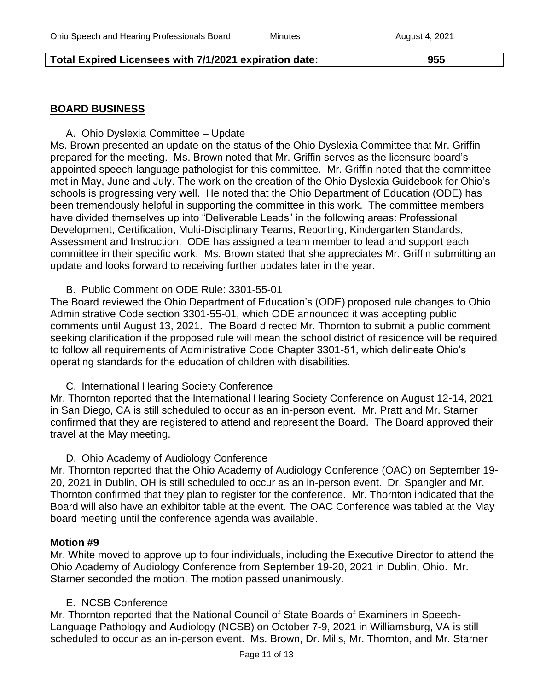## **Total Expired Licensees with 7/1/2021 expiration date: 955**

## **BOARD BUSINESS**

A. Ohio Dyslexia Committee – Update

Ms. Brown presented an update on the status of the Ohio Dyslexia Committee that Mr. Griffin prepared for the meeting. Ms. Brown noted that Mr. Griffin serves as the licensure board's appointed speech-language pathologist for this committee. Mr. Griffin noted that the committee met in May, June and July. The work on the creation of the Ohio Dyslexia Guidebook for Ohio's schools is progressing very well. He noted that the Ohio Department of Education (ODE) has been tremendously helpful in supporting the committee in this work. The committee members have divided themselves up into "Deliverable Leads" in the following areas: Professional Development, Certification, Multi-Disciplinary Teams, Reporting, Kindergarten Standards, Assessment and Instruction. ODE has assigned a team member to lead and support each committee in their specific work. Ms. Brown stated that she appreciates Mr. Griffin submitting an update and looks forward to receiving further updates later in the year.

#### B. Public Comment on ODE Rule: 3301-55-01

The Board reviewed the Ohio Department of Education's (ODE) proposed rule changes to Ohio Administrative Code section 3301-55-01, which ODE announced it was accepting public comments until August 13, 2021. The Board directed Mr. Thornton to submit a public comment seeking clarification if the proposed rule will mean the school district of residence will be required to follow all requirements of Administrative Code Chapter 3301-51, which delineate Ohio's operating standards for the education of children with disabilities.

C. International Hearing Society Conference

Mr. Thornton reported that the International Hearing Society Conference on August 12-14, 2021 in San Diego, CA is still scheduled to occur as an in-person event. Mr. Pratt and Mr. Starner confirmed that they are registered to attend and represent the Board. The Board approved their travel at the May meeting.

D. Ohio Academy of Audiology Conference

Mr. Thornton reported that the Ohio Academy of Audiology Conference (OAC) on September 19- 20, 2021 in Dublin, OH is still scheduled to occur as an in-person event. Dr. Spangler and Mr. Thornton confirmed that they plan to register for the conference. Mr. Thornton indicated that the Board will also have an exhibitor table at the event. The OAC Conference was tabled at the May board meeting until the conference agenda was available.

#### **Motion #9**

Mr. White moved to approve up to four individuals, including the Executive Director to attend the Ohio Academy of Audiology Conference from September 19-20, 2021 in Dublin, Ohio. Mr. Starner seconded the motion. The motion passed unanimously.

## E. NCSB Conference

Mr. Thornton reported that the National Council of State Boards of Examiners in Speech-Language Pathology and Audiology (NCSB) on October 7-9, 2021 in Williamsburg, VA is still scheduled to occur as an in-person event. Ms. Brown, Dr. Mills, Mr. Thornton, and Mr. Starner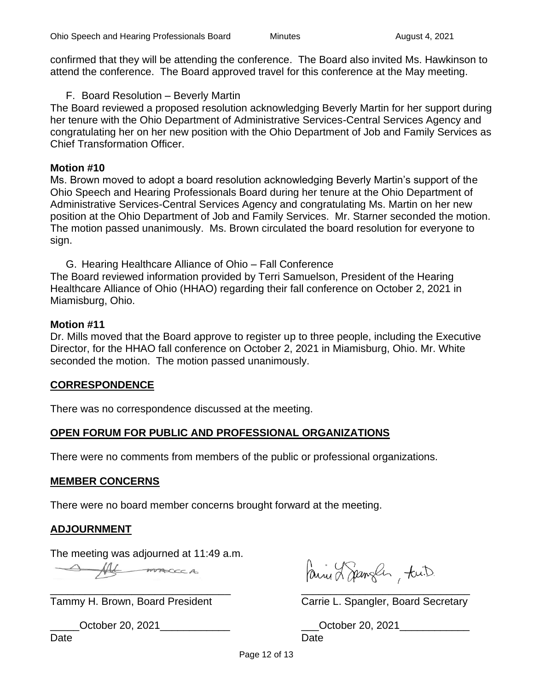confirmed that they will be attending the conference. The Board also invited Ms. Hawkinson to attend the conference. The Board approved travel for this conference at the May meeting.

F. Board Resolution – Beverly Martin

The Board reviewed a proposed resolution acknowledging Beverly Martin for her support during her tenure with the Ohio Department of Administrative Services-Central Services Agency and congratulating her on her new position with the Ohio Department of Job and Family Services as Chief Transformation Officer.

#### **Motion #10**

Ms. Brown moved to adopt a board resolution acknowledging Beverly Martin's support of the Ohio Speech and Hearing Professionals Board during her tenure at the Ohio Department of Administrative Services-Central Services Agency and congratulating Ms. Martin on her new position at the Ohio Department of Job and Family Services. Mr. Starner seconded the motion. The motion passed unanimously. Ms. Brown circulated the board resolution for everyone to sign.

G. Hearing Healthcare Alliance of Ohio – Fall Conference The Board reviewed information provided by Terri Samuelson, President of the Hearing Healthcare Alliance of Ohio (HHAO) regarding their fall conference on October 2, 2021 in Miamisburg, Ohio.

#### **Motion #11**

Dr. Mills moved that the Board approve to register up to three people, including the Executive Director, for the HHAO fall conference on October 2, 2021 in Miamisburg, Ohio. Mr. White seconded the motion. The motion passed unanimously.

## **CORRESPONDENCE**

There was no correspondence discussed at the meeting.

## **OPEN FORUM FOR PUBLIC AND PROFESSIONAL ORGANIZATIONS**

There were no comments from members of the public or professional organizations.

#### **MEMBER CONCERNS**

There were no board member concerns brought forward at the meeting.

## **ADJOURNMENT**

The meeting was adjourned at 11:49 a.m.

Af macca

Paine Lapangler, tu.D.  $\overline{\phantom{a}}$  , and the contribution of the contribution of  $\overline{\phantom{a}}$  , and  $\overline{\phantom{a}}$  , and  $\overline{\phantom{a}}$  , and  $\overline{\phantom{a}}$  , and  $\overline{\phantom{a}}$  , and  $\overline{\phantom{a}}$  , and  $\overline{\phantom{a}}$  , and  $\overline{\phantom{a}}$  , and  $\overline{\phantom{a}}$  , and

Tammy H. Brown, Board President Carrie L. Spangler, Board Secretary

\_\_\_\_\_October 20, 2021\_\_\_\_\_\_\_\_\_\_\_\_ \_\_\_October 20, 2021\_\_\_\_\_\_\_\_\_\_\_\_ Date **Date Date Date Date Date**